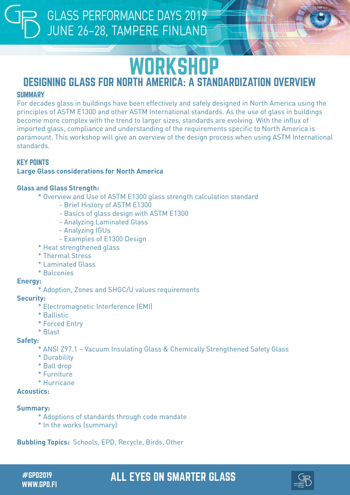## **WORKSHOP**

## DESIGNING GLASS FOR NORTH AMERICA: A STANDARDIZATION OVERVIEW

## **SUMMARY**

For decades glass in buildings have been effectively and safely designed in North America using the principles of ASTM E1300 and other ASTM International standards. As the use of glass in buildings become more complex with the trend to larger sizes, standards are evolving. With the influx of imported glass, compliance and understanding of the requirements specific to North America is paramount. This workshop will give an overview of the design process when using ASTM International standards.

## KEY POINTS

## **Large Glass considerations for North America**

## **Glass and Glass Strength:**

- \* Overview and Use of ASTM E1300 glass strength calculation standard
	- Brief History of ASTM E1300
	- Basics of glass design with ASTM E1300
	- Analyzing Laminated Glass
	- Analyzing IGUs
	- Examples of E1300 Design
- \* Heat strengthened glass
- \* Thermal Stress
- \* Laminated Glass
- \* Balconies

## **Energy:**

\* Adoption, Zones and SHGC/U values requirements

### **Security:**

- \* Electromagnetic Interference (EMI)
- \* Ballistic
- \* Forced Entry
- \* Blast

### **Safety:**

- \* ANSI Z97.1 Vacuum Insulating Glass & Chemically Strengthened Safety Glass
- \* Durability
- \* Ball drop
- \* Furniture
- \* Hurricane

## **Acoustics:**

## **Summary:**

- \* Adoptions of standards through code mandate
- \* In the works (summary)

**Bubbling Topics:** Schools, EPD, Recycle, Birds, Other

WWW.GPD.FI

## #GPD2019 ALL EYES ON SMARTER GLASS

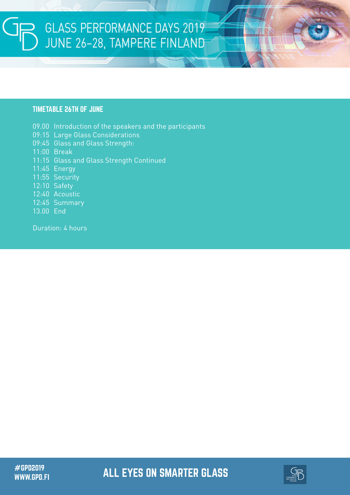# GLASS PERFORMANCE DAYS 2019<br>JUNE 26-28, TAMPERE FINLAND

## TIMETABLE 26TH OF JUNE

09.00 Introduction of the speakers and the participants 09:15 Large Glass Considerations 09:45 Glass and Glass Strength: 11:00 Break 11:15 Glass and Glass Strength Continued 11:45 Energy 11:55 Security 12:10 Safety 12:40 Acoustic 12:45 Summary 13.00 End

Duration: 4 hours

#GPD2019 ALL EYES ON SMARTER GLASS WWW.GPD.FI